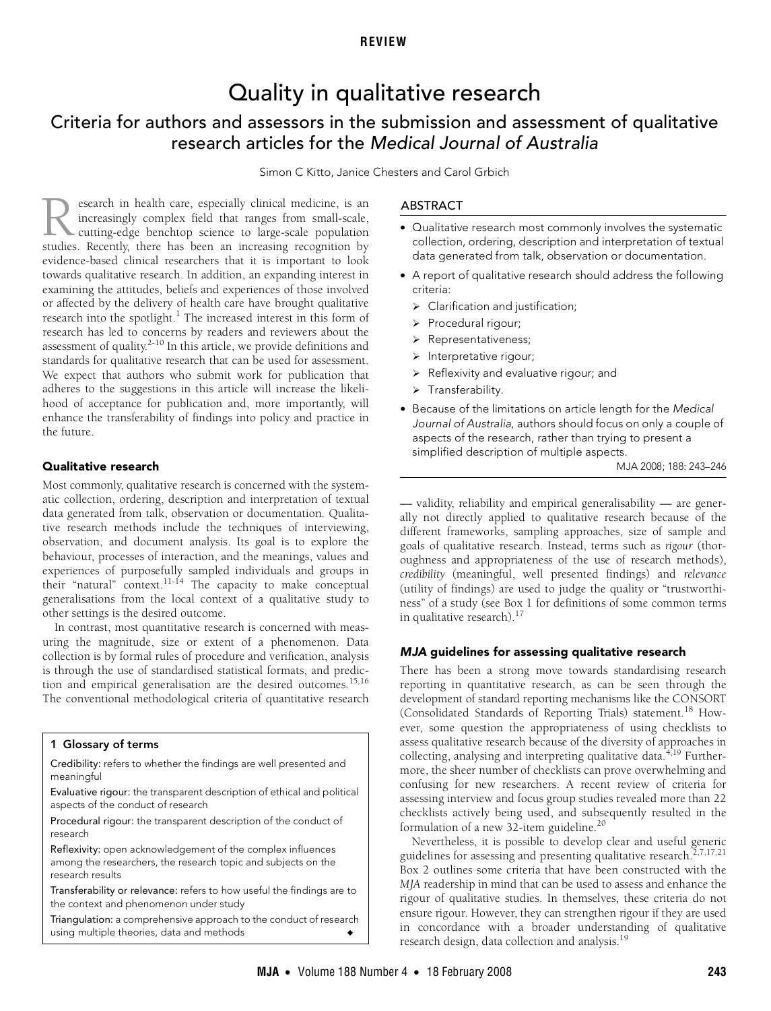# Quality in qualitative research

## <span id="page-0-0"></span>Criteria for authors and assessors in the submission and assessment of qualitative research articles for the Medical Journal of Australia

Simon C Kitto, Janice Chesters and Carol Grbich

standards for qualitative research that can be used for assessment. We expect that authors who su[bmit](#page-0-0) [wor](#page-3-14)k for publication that adheres to the suggestions in this article will increase the likelihood of acceptance for publication and, more importantly, will enhance the transferability of findings into policy and practice in esearch in health care, especially clinical medicine, is an increasingly complex field that ranges from small-scale, cutting-edge benchtop science to large-scale population **State of the studies.** Recently, there has been an increasing recognition studies. Recently, there has been an increasing recognition by evidence-based clinical researchers that it is important to look towards qualitative research. In addition, an expanding interest in examining the attitudes, beliefs and experiences of those involved or affected by the delivery of health care have brought qualitative research into the spotlight.<sup>[1](#page-3-0)</sup> The increased interest in this form of research has led to concerns by readers and reviewers about the assessment of quality.<sup>2-[10](#page-3-2)</sup> In this article, we provide definitions and the future.

## Qualitative research

Most commonly, qualitative research is concerned with the systematic collection, ordering, description and interpretation of textual data generated from talk, observation or documentation. Qualitative research methods include the techniques of interviewing, observation, and document analysis. Its goal is to explore the behaviour, processes of interaction, and the meanings, values and experiences of purposefully sampled individuals and groups in their "natural" context[.11](#page-3-3)[-14](#page-3-4) The capacity to make conceptual generalisations from the local context of a qualitative study to other settings is the desired outcome.

In contrast, most quantitative research is concerned with measuring the magnitude, size or extent of a phenomenon. Data collection is by formal rules of procedure and verification, analysis is through the use of standardised statistical formats, and predic-tion and empirical generalisation are the desired outcomes.<sup>[15](#page-3-5),[16](#page-3-6)</sup> The conventional methodological criteria of quantitative research

## <span id="page-0-1"></span>1 Glossary of terms

Credibility: refers to whether the findings are well presented and meaningful

Evaluative rigour: the transparent description of ethical and political aspects of the conduct of research

Procedural rigour: the transparent description of the conduct of research

Reflexivity: open acknowledgement of the complex influences among the researchers, the research topic and subjects on the research results

Transferability or relevance: refers to how useful the findings are to the context and phenomenon under study

Triangulation: a comprehensive approach to the conduct of research using multiple theories, data and methods

## ABSTRACT

- Qualitative research most commonly involves the systematic collection, ordering, description and interpretation of textual data generated from talk, observation or documentation.
- A report of qualitative research should address the following criteria:
	- $\triangleright$  Clarification and justification;
	- ¾ Procedural rigour;
	- ¾ Representativeness;
	- $\triangleright$  Interpretative rigour;
	- $\triangleright$  Reflexivity and evaluative rigour; and
	- ¾ Transferability.
- Because of the limitations on article length for the Medical Journal of Australia, authors should focus on only a couple of aspects of the research, rather than trying to present a simplified description of multiple aspects.

MJA 2008; 188: 243–246

— validity, reliability and empirical generalisability — are generally not directly applied to qualitative research because of the different frameworks, sampling approaches, size of sample and goals of qualitative research. Instead, terms such as *rigour* (thoroughness and appropriateness of the use of research methods), *credibility* (meaningful, well presented findings) and *relevance* (utility of findings) are used to judge the quality or "trustworthiness" of a study (see [Box 1](#page-0-1) for definitions of some common terms in qualitative research). $17$ 

## MJA guidelines for assessing qualitative research

There has been a strong move towards standardising research reporting in quantitative research, as can be seen through the development of standard reporting mechanisms like the CONSORT (Consolidated Standards of Reporting Trials) statement.<sup>[18](#page-3-8)</sup> However, some question the appropriateness of using checklists to assess qualitative research because of the diversity of approaches in collecting, analysing and interpreting qualitative data. $4,19$  $4,19$  Furthermore, the sheer number of checklists can prove overwhelming and confusing for new researchers. A recent review of criteria for assessing interview and focus group studies revealed more than 22 checklists actively being used, and subsequently resulted in the formulation of a new 32-item guideline.[20](#page-3-11)

Nevertheless, it is possible to develop clear and useful generi[c](#page-1-0) guidelines for assessing and presenting qualitative research.<sup>[2,](#page-3-1)[7,](#page-3-12)[17](#page-3-7)[,21](#page-3-13)</sup> [Box 2](#page-1-0) outlines some criteria that have been constructed with the *MJA* readership in mind that can be used to assess and enhance the rigour of qualitative studies. In themselves, these criteria do not ensure rigour. However, they can strengthen rigour if they are used in concordance with a broader understanding of qualitative research design, data collection and analysis.[19](#page-3-10)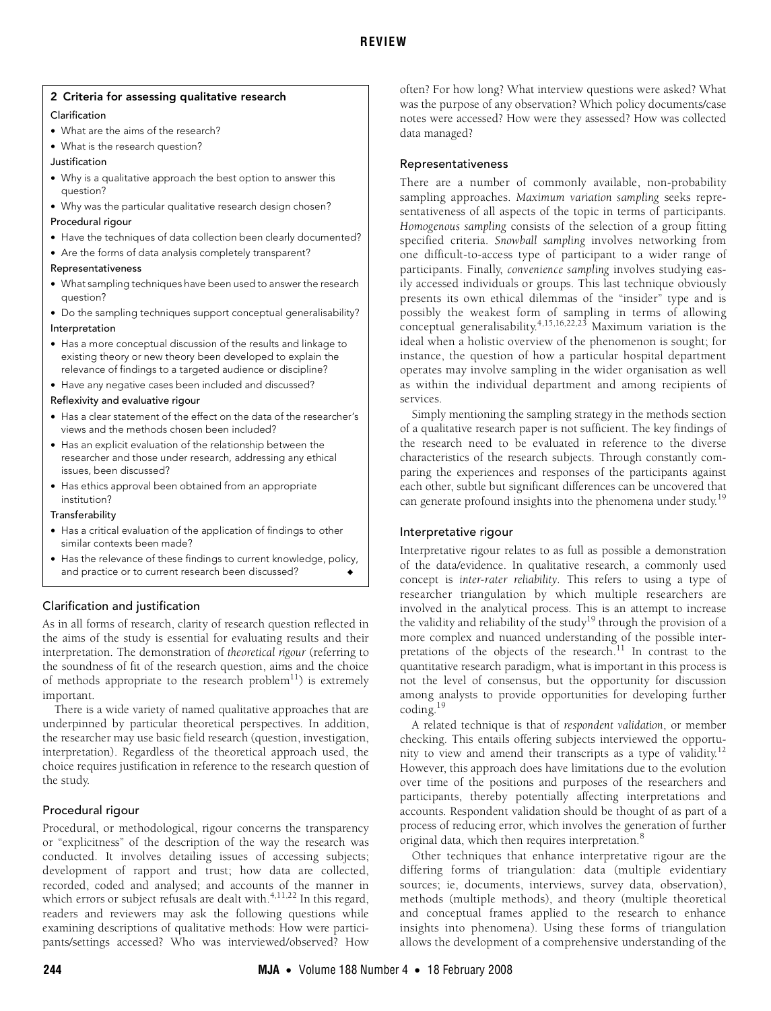## <span id="page-1-0"></span>2 Criteria for assessing qualitative research

## Clarification

- What are the aims of the research?
- What is the research question?
- Justification
- Why is a qualitative approach the best option to answer this question?
- Why was the particular qualitative research design chosen?

## Procedural rigour

- Have the techniques of data collection been clearly documented?
- Are the forms of data analysis completely transparent?

## Representativeness

- What sampling techniques have been used to answer the research question?
- Do the sampling techniques support conceptual generalisability?

## Interpretation

- Has a more conceptual discussion of the results and linkage to existing theory or new theory been developed to explain the relevance of findings to a targeted audience or discipline?
- Have any negative cases been included and discussed?

## Reflexivity and evaluative rigour

- Has a clear statement of the effect on the data of the researcher's views and the methods chosen been included?
- Has an explicit evaluation of the relationship between the researcher and those under research, addressing any ethical issues, been discussed?
- Has ethics approval been obtained from an appropriate institution?

## Transferability

- Has a critical evaluation of the application of findings to other similar contexts been made?
- Has the relevance of these findings to current knowledge, policy, and practice or to current research been discussed?

## Clarification and justification

As in all forms of research, clarity of research question reflected in the aims of the study is essential for evaluating results and their interpretation. The demonstration of *theoretical rigour* (referring to the soundness of fit of the research question, aims and the choice of methods appropriate to the research  $problem<sup>11</sup>$ ) is extremely important.

There is a wide variety of named qualitative approaches that are underpinned by particular theoretical perspectives. In addition, the researcher may use basic field research (question, investigation, interpretation). Regardless of the theoretical approach used, the choice requires justification in reference to the research question of the study.

## Procedural rigour

Procedural, or methodological, rigour concerns the transparency or "explicitness" of the description of the way the research was conducted. It involves detailing issues of accessing subjects; development of rapport and trust; how data are collected, recorded, coded and analysed; and accounts of the manner in which errors or subject refusals are dealt with.<sup>[4,](#page-3-9)[11,](#page-3-3)[22](#page-3-15)</sup> In this regard, readers and reviewers may ask the following questions while examining descriptions of qualitative methods: How were participants/settings accessed? Who was interviewed/observed? How

often? For how long? What interview questions were asked? What was the purpose of any observation? Which policy documents/case notes were accessed? How were they assessed? How was collected data managed?

## Representativeness

There are a number of commonly available, non-probability sampling approaches. *Maximum variation sampling* seeks representativeness of all aspects of the topic in terms of participants. *Homogenous sampling* consists of the selection of a group fitting specified criteria. *Snowball sampling* involves networking from one difficult-to-access type of participant to a wider range of participants. Finally, *convenience sampling* involves studying easily accessed individuals or groups. This last technique obviously presents its own ethical dilemmas of the "insider" type and is possibly the weakest form of sampling in terms of allowing conceptual generalisability.<sup>[4,](#page-3-9)[15](#page-3-5),[16,](#page-3-6)[22](#page-3-15),23</sup> Maximum variation is the ideal when a holistic overview of the phenomenon is sought; for instance, the question of how a particular hospital department operates may involve sampling in the wider organisation as well as within the individual department and among recipients of services.

Simply mentioning the sampling strategy in the methods section of a qualitative research paper is not sufficient. The key findings of the research need to be evaluated in reference to the diverse characteristics of the research subjects. Through constantly comparing the experiences and responses of the participants against each other, subtle but significant differences can be uncovered that can generate profound insights into the phenomena under study.<sup>[19](#page-3-10)</sup>

## Interpretative rigour

Interpretative rigour relates to as full as possible a demonstration of the data/evidence. In qualitative research, a commonly used concept is *inter-rater reliability*. This refers to using a type of researcher triangulation by which multiple researchers are involved in the analytical process. This is an attempt to increase the validity and reliability of the study<sup>19</sup> through the provision of a more complex and nuanced understanding of the possible interpretations of the objects of the research.<sup>11</sup> In contrast to the quantitative research paradigm, what is important in this process is not the level of consensus, but the opportunity for discussion among analysts to provide opportunities for developing further coding[.19](#page-3-10)

A related technique is that of *respondent validation*, or member checking. This entails offering subjects interviewed the opportunity to view and amend their transcripts as a type of validity.[12](#page-3-17) However, this approach does have limitations due to the evolution over time of the positions and purposes of the researchers and participants, thereby potentially affecting interpretations and accounts. Respondent validation should be thought of as part of a process of reducing error, which involves the generation of further original data, which then requires interpretation.[8](#page-3-18)

Other techniques that enhance interpretative rigour are the differing forms of triangulation: data (multiple evidentiary sources; ie, documents, interviews, survey data, observation), methods (multiple methods), and theory (multiple theoretical and conceptual frames applied to the research to enhance insights into phenomena). Using these forms of triangulation allows the development of a comprehensive understanding of the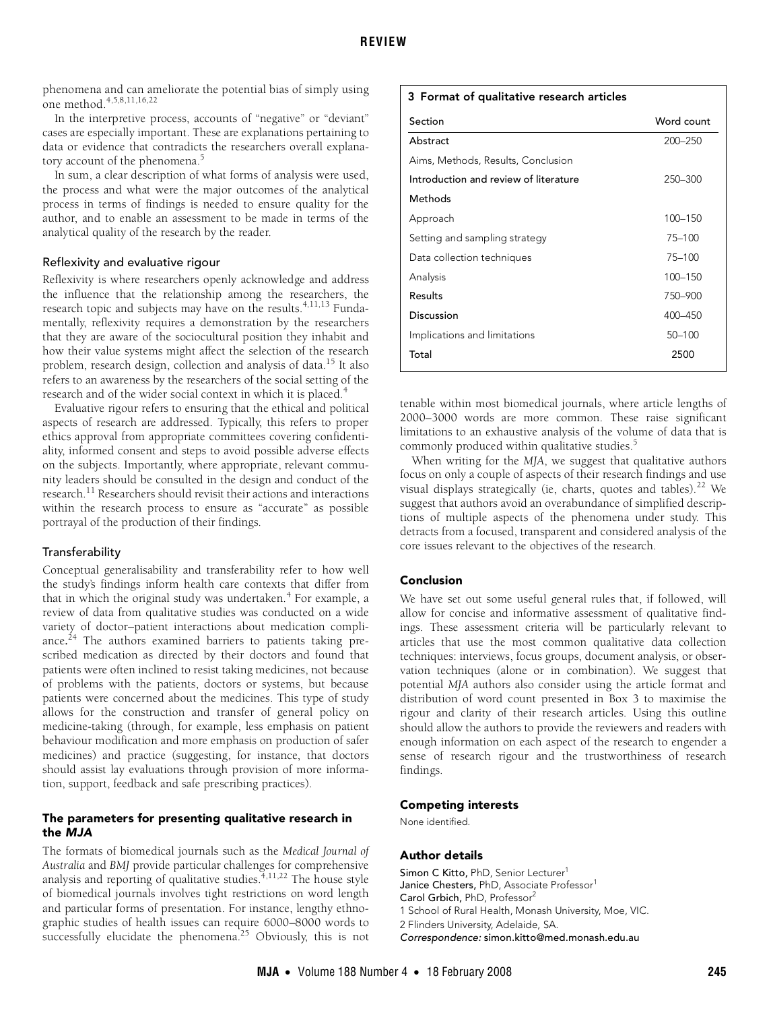phenomena and can ameliorate the potential bias of simply using one method[.4](#page-3-9)[,5](#page-3-19)[,8,](#page-3-18)[11,](#page-3-3)[16](#page-3-6),[22](#page-3-15)

In the interpretive process, accounts of "negative" or "deviant" cases are especially important. These are explanations pertaining to data or evidence that contradicts the researchers overall explana-tory account of the phenomena.<sup>[5](#page-3-19)</sup>

In sum, a clear description of what forms of analysis were used, the process and what were the major outcomes of the analytical process in terms of findings is needed to ensure quality for the author, and to enable an assessment to be made in terms of the analytical quality of the research by the reader.

## Reflexivity and evaluative rigour

Reflexivity is where researchers openly acknowledge and address the influence that the relationship among the researchers, the research topic and subjects may have on the results.<sup>[4](#page-3-9),[11,](#page-3-3)[13](#page-3-20)</sup> Fundamentally, reflexivity requires a demonstration by the researchers that they are aware of the sociocultural position they inhabit and how their value systems might affect the selection of the research problem, research design, collection and analysis of data.<sup>15</sup> It also refers to an awareness by the researchers of the social setting of the research and of the wider social context in which it is placed.<sup>[4](#page-3-9)</sup>

Evaluative rigour refers to ensuring that the ethical and political aspects of research are addressed. Typically, this refers to proper ethics approval from appropriate committees covering confidentiality, informed consent and steps to avoid possible adverse effects on the subjects. Importantly, where appropriate, relevant community leaders should be consulted in the design and conduct of the research[.11](#page-3-3) Researchers should revisit their actions and interactions within the research process to ensure as "accurate" as possible portrayal of the production of their findings.

#### **Transferability**

Conceptual generalisability and transferability refer to how well the study's findings inform health care contexts that differ from that in which the original study was undertaken.<sup>[4](#page-3-9)</sup> For example, a review of data from qualitative studies was conducted on a wide variety of doctor–patient interactions about medication compliance.<sup>24</sup> The authors examined barriers to patients taking prescribed medication as directed by their doctors and found that patients were often inclined to resist taking medicines, not because of problems with the patients, doctors or systems, but because patients were concerned about the medicines. This type of study allows for the construction and transfer of general policy on medicine-taking (through, for example, less emphasis on patient behaviour modification and more emphasis on production of safer medicines) and practice (suggesting, for instance, that doctors should assist lay evaluations through provision of more information, support, feedback and safe prescribing practices).

## The parameters for presenting qualitative research in the MJA

The formats of biomedical journals such as the *Medical Journal of Australia* and *BMJ* provide particular challenges for comprehensive analysis and reporting of qualitative studies.  $4,11,22$  $4,11,22$  $4,11,22$  $4,11,22$  The house style of biomedical journals involves tight restrictions on word length and particular forms of presentation. For instance, lengthy ethnographic studies of health issues can require 6000–8000 words to successfully elucidate the phenomena.<sup>25</sup> Obviously, this is not

## <span id="page-2-0"></span>3 Format of qualitative research articles

| Section                               | Word count |
|---------------------------------------|------------|
| Abstract                              | 200-250    |
| Aims, Methods, Results, Conclusion    |            |
| Introduction and review of literature | 250-300    |
| Methods                               |            |
| Approach                              | 100-150    |
| Setting and sampling strategy         | 75-100     |
| Data collection techniques            | $75 - 100$ |
| Analysis                              | 100-150    |
| Results                               | 750-900    |
| Discussion                            | 400-450    |
| Implications and limitations          | $50 - 100$ |
| Total                                 | 2500       |
|                                       |            |

tenable within most biomedical journals, where article lengths of 2000–3000 words are more common. These raise significant limitations to an exhaustive analysis of the volume of data that is commonly produced within qualitative studies.[5](#page-3-19)

When writing for the *MJA*, we suggest that qualitative authors focus on only a couple of aspects of their research findings and use visual displays strategically (ie, charts, quotes and tables).<sup>22</sup> We suggest that authors avoid an overabundance of simplified descriptions of multiple aspects of the phenomena under study. This detracts from a focused, transparent and considered analysis of the core issues relevant to the objectives of the research.

## Conclusion

We have set out some useful general rules that, if followed, will allow for concise and informative assessment of qualitative findings. These assessment criteria will be particularly relevant to articles that use the most common qualitative data collection techniques: interviews, focus groups, document analysis, or observation techniques (alone or in combination). We suggest that potential *MJA* authors also consider using the article format and distribution of word count presented in [Box 3](#page-2-0) to maximise the rigour and clarity of their research articles. Using this outline should allow the authors to provide the reviewers and readers with enough information on each aspect of the research to engender a sense of research rigour and the trustworthiness of research findings.

#### Competing interests

None identified.

#### Author details

Simon C Kitto, PhD, Senior Lecturer<sup>1</sup> Janice Chesters, PhD, Associate Professor<sup>1</sup> Carol Grbich, PhD, Professor<sup>2</sup> 1 School of Rural Health, Monash University, Moe, VIC. 2 Flinders University, Adelaide, SA. Correspondence: simon.kitto@med.monash.edu.au